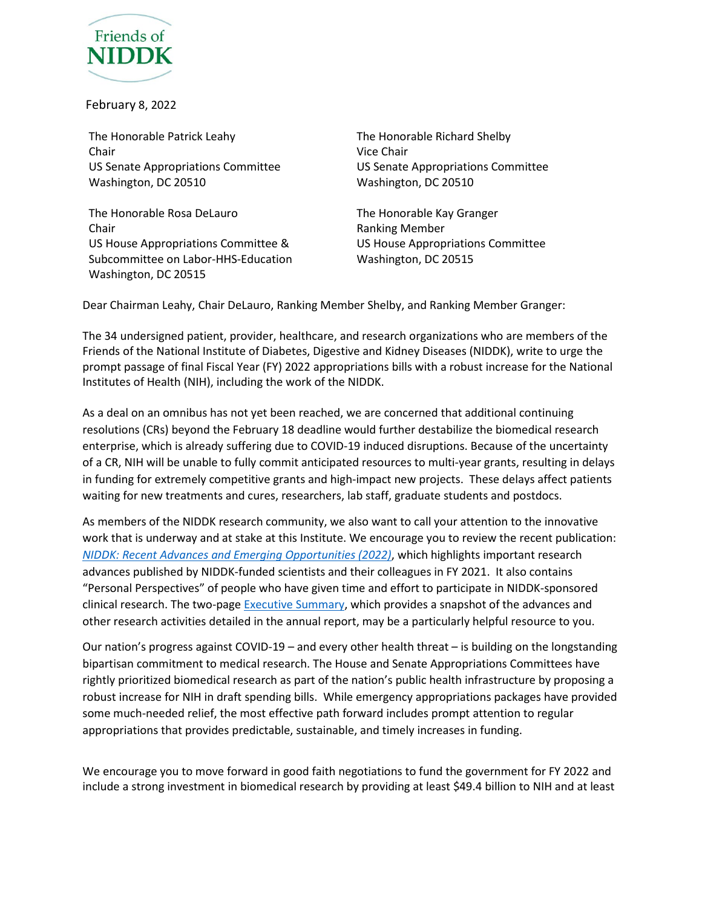

February 8, 2022

The Honorable Patrick Leahy Chair US Senate Appropriations Committee Washington, DC 20510

The Honorable Rosa DeLauro Chair US House Appropriations Committee & Subcommittee on Labor-HHS-Education Washington, DC 20515

The Honorable Richard Shelby Vice Chair US Senate Appropriations Committee Washington, DC 20510

The Honorable Kay Granger Ranking Member US House Appropriations Committee Washington, DC 20515

Dear Chairman Leahy, Chair DeLauro, Ranking Member Shelby, and Ranking Member Granger:

The 34 undersigned patient, provider, healthcare, and research organizations who are members of the Friends of the National Institute of Diabetes, Digestive and Kidney Diseases (NIDDK), write to urge the prompt passage of final Fiscal Year (FY) 2022 appropriations bills with a robust increase for the National Institutes of Health (NIH), including the work of the NIDDK.

As a deal on an omnibus has not yet been reached, we are concerned that additional continuing resolutions (CRs) beyond the February 18 deadline would further destabilize the biomedical research enterprise, which is already suffering due to COVID-19 induced disruptions. Because of the uncertainty of a CR, NIH will be unable to fully commit anticipated resources to multi-year grants, resulting in delays in funding for extremely competitive grants and high-impact new projects. These delays affect patients waiting for new treatments and cures, researchers, lab staff, graduate students and postdocs.

As members of the NIDDK research community, we also want to call your attention to the innovative work that is underway and at stake at this Institute. We encourage you to review the recent publication: *[NIDDK: Recent Advances and Emerging Opportunities \(2022\)](https://www.niddk.nih.gov/about-niddk/strategic-plans-reports/niddk-recent-advances-emerging-opportunities)*, which highlights important research advances published by NIDDK-funded scientists and their colleagues in FY 2021. It also contains "Personal Perspectives" of people who have given time and effort to participate in NIDDK-sponsored clinical research. The two-page [Executive Summary,](https://www.niddk.nih.gov/-/media/Files/Strategic-Plans/2022_NIDDK_RecentAdvancesEmergingOpps_ExecSum.pdf) which provides a snapshot of the advances and other research activities detailed in the annual report, may be a particularly helpful resource to you.

Our nation's progress against COVID-19 – and every other health threat – is building on the longstanding bipartisan commitment to medical research. The House and Senate Appropriations Committees have rightly prioritized biomedical research as part of the nation's public health infrastructure by proposing a robust increase for NIH in draft spending bills. While emergency appropriations packages have provided some much-needed relief, the most effective path forward includes prompt attention to regular appropriations that provides predictable, sustainable, and timely increases in funding.

We encourage you to move forward in good faith negotiations to fund the government for FY 2022 and include a strong investment in biomedical research by providing at least \$49.4 billion to NIH and at least